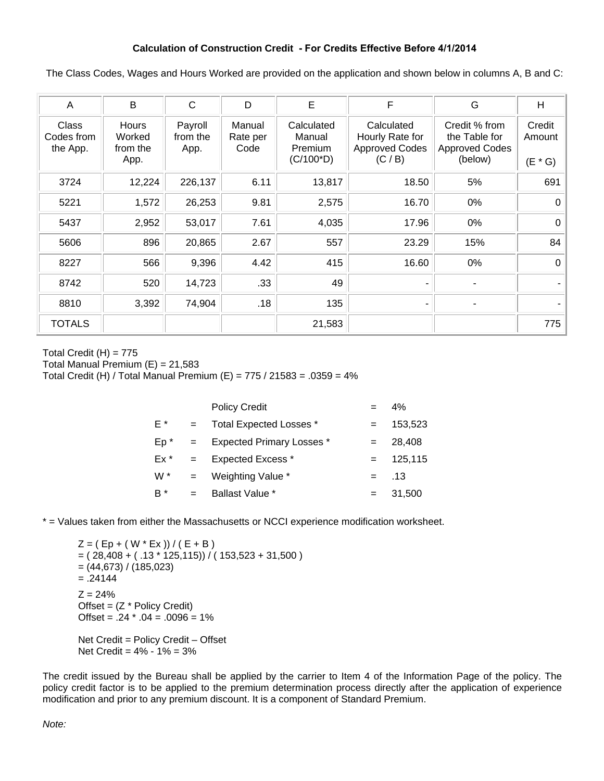## **Calculation of Construction Credit - For Credits Effective Before 4/1/2014**

The Class Codes, Wages and Hours Worked are provided on the application and shown below in columns A, B and C:

| Α                               | B                                          | C                           | D                          | E                                               | F                                                                 | G                                                                  | H                             |
|---------------------------------|--------------------------------------------|-----------------------------|----------------------------|-------------------------------------------------|-------------------------------------------------------------------|--------------------------------------------------------------------|-------------------------------|
| Class<br>Codes from<br>the App. | <b>Hours</b><br>Worked<br>from the<br>App. | Payroll<br>from the<br>App. | Manual<br>Rate per<br>Code | Calculated<br>Manual<br>Premium<br>$(C/100^*D)$ | Calculated<br>Hourly Rate for<br><b>Approved Codes</b><br>(C / B) | Credit % from<br>the Table for<br><b>Approved Codes</b><br>(below) | Credit<br>Amount<br>$(E * G)$ |
| 3724                            | 12,224                                     | 226,137                     | 6.11                       | 13,817                                          | 18.50                                                             | 5%                                                                 | 691                           |
| 5221                            | 1,572                                      | 26,253                      | 9.81                       | 2,575                                           | 16.70                                                             | 0%                                                                 | 0                             |
| 5437                            | 2,952                                      | 53,017                      | 7.61                       | 4,035                                           | 17.96                                                             | 0%                                                                 | 0                             |
| 5606                            | 896                                        | 20,865                      | 2.67                       | 557                                             | 23.29                                                             | 15%                                                                | 84                            |
| 8227                            | 566                                        | 9,396                       | 4.42                       | 415                                             | 16.60                                                             | 0%                                                                 | 0                             |
| 8742                            | 520                                        | 14,723                      | .33                        | 49                                              |                                                                   |                                                                    |                               |
| 8810                            | 3,392                                      | 74,904                      | .18                        | 135                                             |                                                                   |                                                                    |                               |
| <b>TOTALS</b>                   |                                            |                             |                            | 21,583                                          |                                                                   |                                                                    | 775                           |

Total Credit  $(H) = 775$ Total Manual Premium  $(E) = 21,583$ Total Credit (H) / Total Manual Premium (E) = 775 / 21583 = .0359 = 4%

|                |     | <b>Policy Credit</b>             |     | 4%      |
|----------------|-----|----------------------------------|-----|---------|
| E *            |     | Total Expected Losses *          |     | 153,523 |
| $Ep^*$         | $=$ | <b>Expected Primary Losses *</b> |     | 28,408  |
| $Ex^*$         | $=$ | <b>Expected Excess *</b>         | $=$ | 125,115 |
| W <sup>*</sup> | $=$ | Weighting Value *                | $=$ | .13     |
| B *            |     | <b>Ballast Value *</b>           |     | 31,500  |

\* = Values taken from either the Massachusetts or NCCI experience modification worksheet.

 $Z = (Ep + (W * Ex)) / (E + B)$  $= (28,408 + (.13 * 125,115)) / (153,523 + 31,500)$  $=(44,673)/(185,023)$  $=.24144$  $Z = 24%$ Offset =  $(Z * Policy Credit)$ Offset =  $.24 \times .04 = .0096 = 1\%$ Net Credit = Policy Credit – Offset Net Credit =  $4\% - 1\% = 3\%$ 

The credit issued by the Bureau shall be applied by the carrier to Item 4 of the Information Page of the policy. The policy credit factor is to be applied to the premium determination process directly after the application of experience modification and prior to any premium discount. It is a component of Standard Premium.